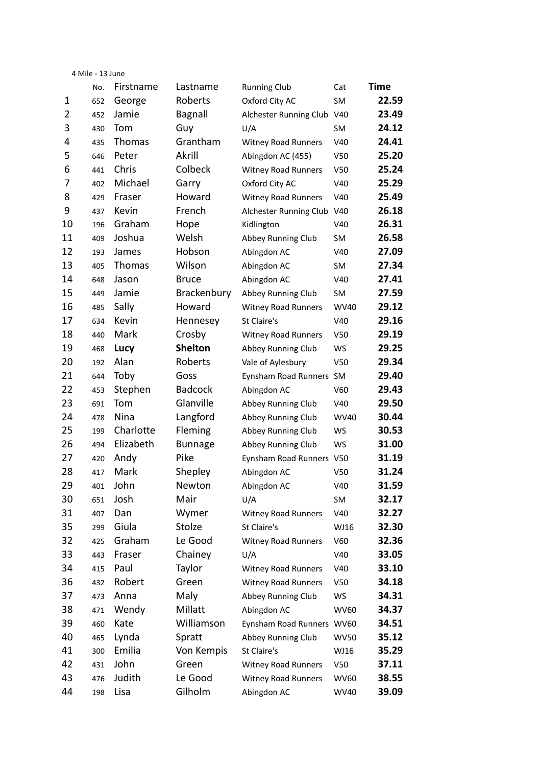|    | 4 Mile - 13 June |           |                |                            |                 |       |
|----|------------------|-----------|----------------|----------------------------|-----------------|-------|
|    | No.              | Firstname | Lastname       | <b>Running Club</b>        | Cat             | Time  |
| 1  | 652              | George    | Roberts        | Oxford City AC             | SM              | 22.59 |
| 2  | 452              | Jamie     | Bagnall        | Alchester Running Club     | V40             | 23.49 |
| 3  | 430              | Tom       | Guy            | U/A                        | SM              | 24.12 |
| 4  | 435              | Thomas    | Grantham       | <b>Witney Road Runners</b> | V40             | 24.41 |
| 5  | 646              | Peter     | Akrill         | Abingdon AC (455)          | V <sub>50</sub> | 25.20 |
| 6  | 441              | Chris     | Colbeck        | Witney Road Runners        | V <sub>50</sub> | 25.24 |
| 7  | 402              | Michael   | Garry          | Oxford City AC             | V40             | 25.29 |
| 8  | 429              | Fraser    | Howard         | <b>Witney Road Runners</b> | V40             | 25.49 |
| 9  | 437              | Kevin     | French         | Alchester Running Club     | V40             | 26.18 |
| 10 | 196              | Graham    | Hope           | Kidlington                 | V40             | 26.31 |
| 11 | 409              | Joshua    | Welsh          | Abbey Running Club         | SM              | 26.58 |
| 12 | 193              | James     | Hobson         | Abingdon AC                | V40             | 27.09 |
| 13 | 405              | Thomas    | Wilson         | Abingdon AC                | SM              | 27.34 |
| 14 | 648              | Jason     | <b>Bruce</b>   | Abingdon AC                | V40             | 27.41 |
| 15 | 449              | Jamie     | Brackenbury    | Abbey Running Club         | SM              | 27.59 |
| 16 | 485              | Sally     | Howard         | <b>Witney Road Runners</b> | <b>WV40</b>     | 29.12 |
| 17 | 634              | Kevin     | Hennesey       | St Claire's                | V40             | 29.16 |
| 18 | 440              | Mark      | Crosby         | <b>Witney Road Runners</b> | V <sub>50</sub> | 29.19 |
| 19 | 468              | Lucy      | <b>Shelton</b> | Abbey Running Club         | <b>WS</b>       | 29.25 |
| 20 | 192              | Alan      | Roberts        | Vale of Aylesbury          | V50             | 29.34 |
| 21 | 644              | Toby      | Goss           | Eynsham Road Runners       | SM              | 29.40 |
| 22 | 453              | Stephen   | <b>Badcock</b> | Abingdon AC                | V60             | 29.43 |
| 23 | 691              | Tom       | Glanville      | Abbey Running Club         | V40             | 29.50 |
| 24 | 478              | Nina      | Langford       | Abbey Running Club         | <b>WV40</b>     | 30.44 |
| 25 | 199              | Charlotte | Fleming        | Abbey Running Club         | <b>WS</b>       | 30.53 |
| 26 | 494              | Elizabeth | <b>Bunnage</b> | Abbey Running Club         | WS              | 31.00 |
| 27 | 420              | Andy      | Pike           | Eynsham Road Runners       | V50             | 31.19 |
| 28 | 417              | Mark      | Shepley        | Abingdon AC                | V50             | 31.24 |
| 29 | 401              | John      | Newton         | Abingdon AC                | V40             | 31.59 |
| 30 | 651              | Josh      | Mair           | U/A                        | SM              | 32.17 |
| 31 | 407              | Dan       | Wymer          | <b>Witney Road Runners</b> | V40             | 32.27 |
| 35 | 299              | Giula     | Stolze         | St Claire's                | WJ16            | 32.30 |
| 32 | 425              | Graham    | Le Good        | <b>Witney Road Runners</b> | V60             | 32.36 |
| 33 | 443              | Fraser    | Chainey        | U/A                        | V40             | 33.05 |
| 34 | 415              | Paul      | Taylor         | <b>Witney Road Runners</b> | V40             | 33.10 |
| 36 | 432              | Robert    | Green          | <b>Witney Road Runners</b> | V50             | 34.18 |
| 37 | 473              | Anna      | Maly           | Abbey Running Club         | WS              | 34.31 |
| 38 | 471              | Wendy     | Millatt        | Abingdon AC                | <b>WV60</b>     | 34.37 |
| 39 | 460              | Kate      | Williamson     | Eynsham Road Runners       | <b>WV60</b>     | 34.51 |
| 40 | 465              | Lynda     | Spratt         | Abbey Running Club         | <b>WV50</b>     | 35.12 |
| 41 | 300              | Emilia    | Von Kempis     | St Claire's                | WJ16            | 35.29 |
| 42 | 431              | John      | Green          | <b>Witney Road Runners</b> | V50             | 37.11 |
| 43 | 476              | Judith    | Le Good        | <b>Witney Road Runners</b> | <b>WV60</b>     | 38.55 |
| 44 | 198              | Lisa      | Gilholm        | Abingdon AC                | <b>WV40</b>     | 39.09 |